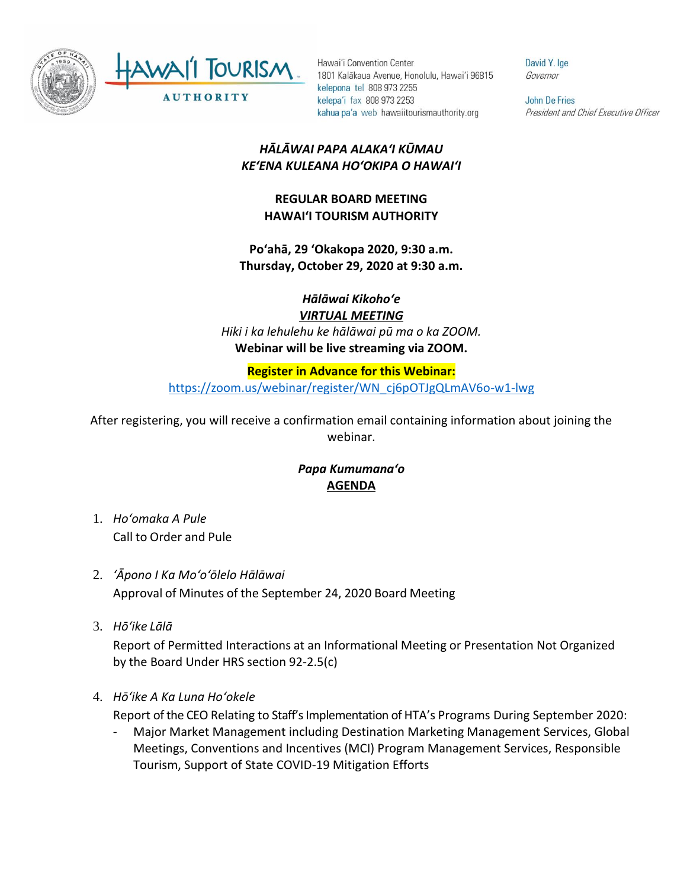

Hawai'i Convention Center 1801 Kalākaua Avenue, Honolulu, Hawai'i 96815 kelepona tel 808 973 2255 kelepa'i fax 808 973 2253 kahua pa'a web hawaiitourismauthority.org

David Y. Ige Governor

John De Fries President and Chief Executive Officer

## *HĀLĀWAI PAPA ALAKAʻI KŪMAU KEʻENA KULEANA HOʻOKIPA O HAWAIʻI*

## **REGULAR BOARD MEETING HAWAI'I TOURISM AUTHORITY**

**Poʻahā, 29 ʻOkakopa 2020, 9:30 a.m. Thursday, October 29, 2020 at 9:30 a.m.**

*Hālāwai Kikohoʻe*

*VIRTUAL MEETING Hiki i ka lehulehu ke hālāwai pū ma o ka ZOOM.* **Webinar will be live streaming via ZOOM.**

## **Register in Advance for this Webinar:**

[https://zoom.us/webinar/register/WN\\_cj6pOTJgQLmAV6o-w1-lwg](https://zoom.us/webinar/register/WN_cj6pOTJgQLmAV6o-w1-lwg)

After registering, you will receive a confirmation email containing information about joining the webinar.

## *Papa Kumumanaʻo* **AGENDA**

- 1. *Ho'omaka A Pule* Call to Order and Pule
- 2. *ʻĀpono I Ka Moʻoʻōlelo Hālāwai* Approval of Minutes of the September 24, 2020 Board Meeting
- 3. *Hō'ike Lālā*

Report of Permitted Interactions at an Informational Meeting or Presentation Not Organized by the Board Under HRS section 92-2.5(c)

4. *Hōʻike A Ka Luna Hoʻokele*

Report of the CEO Relating to Staff's Implementation of HTA's Programs During September 2020:

- Major Market Management including Destination Marketing Management Services, Global Meetings, Conventions and Incentives (MCI) Program Management Services, Responsible Tourism, Support of State COVID-19 Mitigation Efforts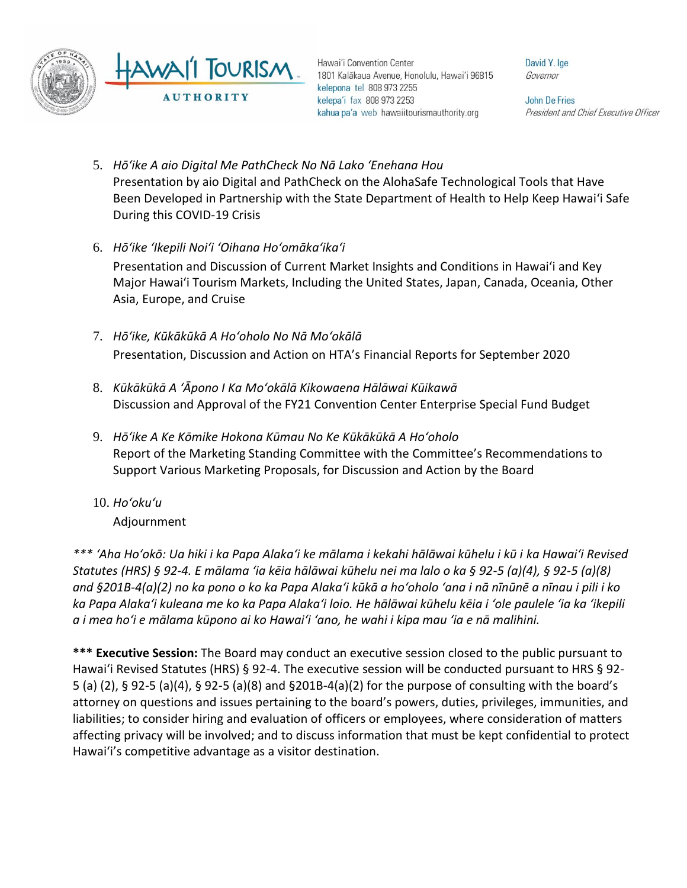

Hawai'i Convention Center 1801 Kalākaua Avenue, Honolulu, Hawai'i 96815 kelepona tel 808 973 2255 kelepa'i fax 808 973 2253 kahua pa'a web hawaiitourismauthority.org

David Y. Ige Governor

**John De Fries** President and Chief Executive Officer

- 5. *Hōʻike A aio Digital Me PathCheck No Nā Lako ʻEnehana Hou* Presentation by aio Digital and PathCheck on the AlohaSafe Technological Tools that Have Been Developed in Partnership with the State Department of Health to Help Keep Hawaiʻi Safe During this COVID-19 Crisis
- 6. *Hōʻike ʻIkepili Noiʻi ʻOihana Hoʻomākaʻikaʻi*

Presentation and Discussion of Current Market Insights and Conditions in Hawai'i and Key Major Hawai'i Tourism Markets, Including the United States, Japan, Canada, Oceania, Other Asia, Europe, and Cruise

- 7. *Hōʻike, Kūkākūkā A Hoʻoholo No Nā Moʻokālā*  Presentation, Discussion and Action on HTA's Financial Reports for September 2020
- 8. *Kūkākūkā A ʻĀpono I Ka Moʻokālā Kikowaena Hālāwai Kūikawā* Discussion and Approval of the FY21 Convention Center Enterprise Special Fund Budget
- 9. *Hōʻike A Ke Kōmike Hokona Kūmau No Ke Kūkākūkā A Hoʻoholo* Report of the Marketing Standing Committee with the Committee's Recommendations to Support Various Marketing Proposals, for Discussion and Action by the Board
- 10. *Ho'oku'u*

Adjournment

*\*\*\* ʻAha Hoʻokō: Ua hiki i ka Papa Alakaʻi ke mālama i kekahi hālāwai kūhelu i kū i ka Hawaiʻi Revised Statutes (HRS) § 92-4. E mālama ʻia kēia hālāwai kūhelu nei ma lalo o ka § 92-5 (a)(4), § 92-5 (a)(8) and §201B-4(a)(2) no ka pono o ko ka Papa Alakaʻi kūkā a hoʻoholo ʻana i nā nīnūnē a nīnau i pili i ko ka Papa Alakaʻi kuleana me ko ka Papa Alakaʻi loio. He hālāwai kūhelu kēia i ʻole paulele ʻia ka ʻikepili a i mea hoʻi e mālama kūpono ai ko Hawaiʻi ʻano, he wahi i kipa mau ʻia e nā malihini.*

**\*\*\* Executive Session:** The Board may conduct an executive session closed to the public pursuant to Hawai'i Revised Statutes (HRS) § 92-4. The executive session will be conducted pursuant to HRS § 92- 5 (a) (2), § 92-5 (a)(4), § 92-5 (a)(8) and §201B-4(a)(2) for the purpose of consulting with the board's attorney on questions and issues pertaining to the board's powers, duties, privileges, immunities, and liabilities; to consider hiring and evaluation of officers or employees, where consideration of matters affecting privacy will be involved; and to discuss information that must be kept confidential to protect Hawai'i's competitive advantage as a visitor destination.